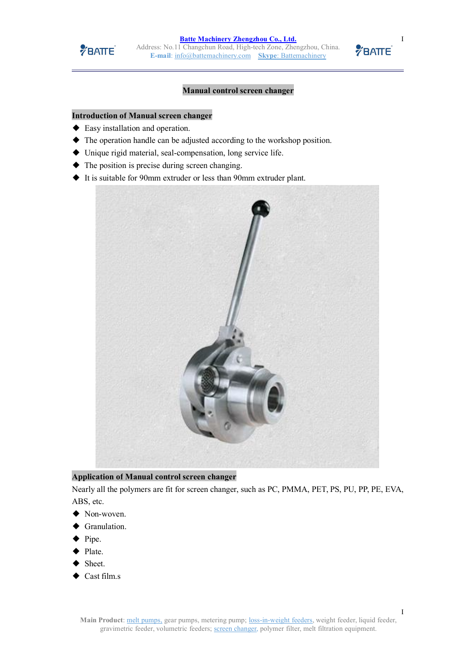

## **Manual control screen changer**

### **Introduction of Manual screen changer**

- ◆ Easy installation and operation.
- ◆ The operation handle can be adjusted according to the workshop position.
- ◆ Unique rigid material, seal-compensation, long service life.
- $\blacklozenge$  The position is precise during screen changing.
- ◆ It is suitable for 90mm extruder or less than 90mm extruder plant.



**Application of Manual control screen changer**

Nearly all the polymers are fit for screen changer, such as PC, PMMA, PET, PS, PU, PP, PE, EVA, ABS, etc.

- ◆ Non-woven.
- Granulation.
- ◆ Pipe.
- Plate.
- Sheet.
- Cast film.s



I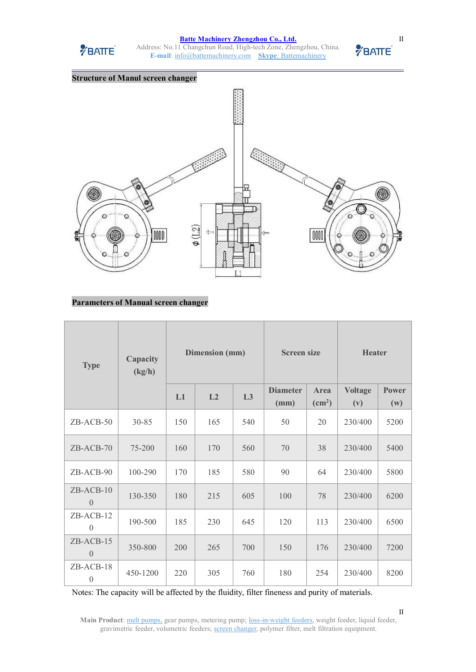

#### **Batte Machinery [Zhengzhou](http://www.battemachinery.com/) Co., Ltd.**

Address: No.11 Changchun Road, High-tech Zone, Zhengzhou, China.<br>
E-mail: info@hattemachinery.com Skyne: Battemachinery **E-mail**: [info@battemachinery.com](mailto:info@battemachinery.com) **Skype**: [Battemachinery](http://www.battemachinery.com/Contact/)



# **Parameters of Manual screen changer**

| <b>Type</b>                   | Capacity<br>(kg/h) | Dimension (mm) |     | <b>Screen size</b> |                         | <b>Heater</b>                  |                       |                     |
|-------------------------------|--------------------|----------------|-----|--------------------|-------------------------|--------------------------------|-----------------------|---------------------|
|                               |                    | L1             | L2  | L3                 | <b>Diameter</b><br>(mm) | Area<br>$\text{(cm}^2\text{)}$ | <b>Voltage</b><br>(v) | <b>Power</b><br>(w) |
| ZB-ACB-50                     | $30 - 85$          | 150            | 165 | 540                | 50                      | 20                             | 230/400               | 5200                |
| $ZB-ACB-70$                   | 75-200             | 160            | 170 | 560                | 70                      | 38                             | 230/400               | 5400                |
| ZB-ACB-90                     | 100-290            | 170            | 185 | 580                | 90                      | 64                             | 230/400               | 5800                |
| $ZB-ACB-10$<br>$\overline{0}$ | 130-350            | 180            | 215 | 605                | 100                     | 78                             | 230/400               | 6200                |
| $ZB-ACB-12$<br>$\overline{0}$ | 190-500            | 185            | 230 | 645                | 120                     | 113                            | 230/400               | 6500                |
| $ZB-ACB-15$<br>$\theta$       | 350-800            | 200            | 265 | 700                | 150                     | 176                            | 230/400               | 7200                |
| ZB-ACB-18<br>$\theta$         | 450-1200           | 220            | 305 | 760                | 180                     | 254                            | 230/400               | 8200                |

Notes: The capacity will be affected by the fluidity, filter fineness and purity of materials.

Main Product: melt [pumps,](http://www.battemachinery.com/Product/Meltpump/) gear pumps, metering pump; [loss-in-weight](http://www.battemachinery.com/Product/Feedingsystem/) feeders, weight feeder, liquid feeder, gravimetric feeder, volumetric feeders; screen [changer,](http://www.battemachinery.com/Product/Screenchanger/) polymer filter, melt filtration equipment.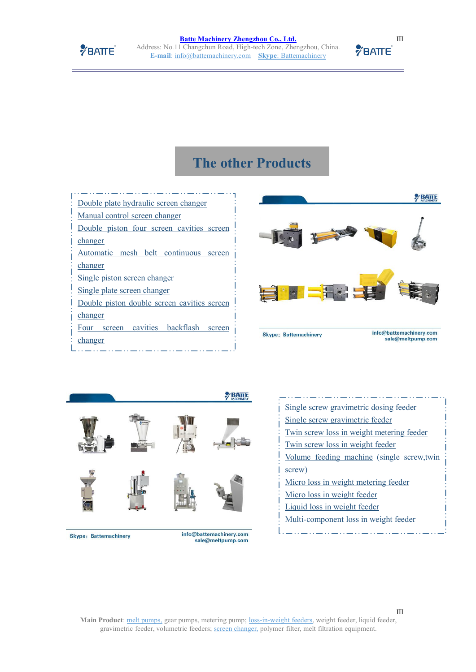

**Batte Machinery [Zhengzhou](http://www.battemachinery.com/) Co., Ltd.** Address: No.11 Changchun Road, High-tech Zone, Zhengzhou, China. **E-mail**: [info@battemachinery.com](mailto:info@battemachinery.com) **Skype**: [Battemachinery](http://www.battemachinery.com/Contact/)

# **The other Products**

Double plate [hydraulic](http://www.battemachinery.com/Product/Screenchanger/28.html) screen changer Manual control screen [changer](http://www.battemachinery.com/Product/Screenchanger/29.html) Double piston four screen [cavities](http://www.battemachinery.com/Product/Screenchanger/26.html) screen [changer](http://www.battemachinery.com/Product/Screenchanger/26.html) Automatic mesh belt [continuous](http://www.battemachinery.com/Product/Screenchanger/27.html) screen [changer](http://www.battemachinery.com/Product/Screenchanger/27.html) Single piston screen [changer](http://www.battemachinery.com/Product/Screenchanger/24.html) Single plate screen [changer](http://www.battemachinery.com/Product/Screenchanger/25.html) Double piston double screen [cavities](http://www.battemachinery.com/Product/Screenchanger/22.html) screen [changer](http://www.battemachinery.com/Product/Screenchanger/22.html) Four screen cavities [backflash](http://www.battemachinery.com/Product/Screenchanger/23.html) screen and skype Battemachinery





Skype: Battemachinery

[changer](http://www.battemachinery.com/Product/Screenchanger/23.html)

info@battemachinery.com sale@meltpump.com

| Single screw gravimetric dosing feeder     |
|--------------------------------------------|
| Single screw gravimetric feeder            |
| Twin screw loss in weight metering feeder  |
| Twin screw loss in weight feeder           |
| Volume feeding machine (single screw, twin |
| screw)                                     |
| Micro loss in weight metering feeder       |
| Micro loss in weight feeder                |
| Liquid loss in weight feeder               |
| Multi-component loss in weight feeder      |
|                                            |

III

Main Product: melt [pumps,](http://www.battemachinery.com/Product/Meltpump/) gear pumps, metering pump; [loss-in-weight](http://www.battemachinery.com/Product/Feedingsystem/) feeders, weight feeder, liquid feeder, gravimetric feeder, volumetric feeders; screen [changer,](http://www.battemachinery.com/Product/Screenchanger/) polymer filter, melt filtration equipment.